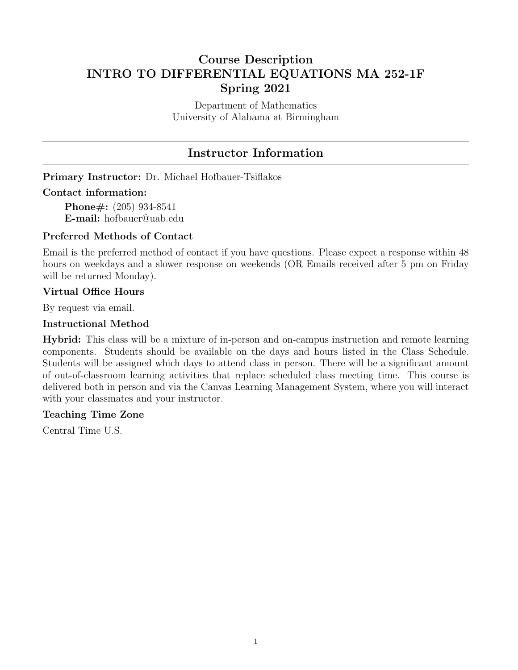# Course Description INTRO TO DIFFERENTIAL EQUATIONS MA 252-1F Spring 2021

Department of Mathematics University of Alabama at Birmingham

# Instructor Information

Primary Instructor: Dr. Michael Hofbauer-Tsiflakos

### Contact information:

Phone#: (205) 934-8541 E-mail: hofbauer@uab.edu

## Preferred Methods of Contact

Email is the preferred method of contact if you have questions. Please expect a response within 48 hours on weekdays and a slower response on weekends (OR Emails received after 5 pm on Friday will be returned Monday).

### Virtual Office Hours

By request via email.

## Instructional Method

Hybrid: This class will be a mixture of in-person and on-campus instruction and remote learning components. Students should be available on the days and hours listed in the Class Schedule. Students will be assigned which days to attend class in person. There will be a significant amount of out-of-classroom learning activities that replace scheduled class meeting time. This course is delivered both in person and via the Canvas Learning Management System, where you will interact with your classmates and your instructor.

#### Teaching Time Zone

Central Time U.S.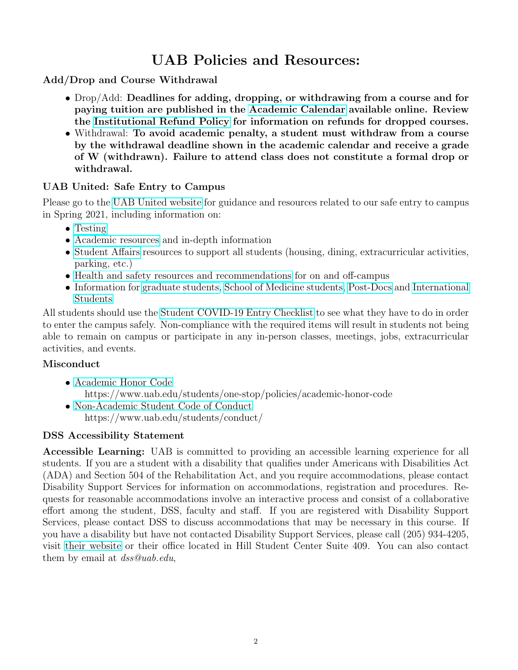# UAB Policies and Resources:

# Add/Drop and Course Withdrawal

- Drop/Add: Deadlines for adding, dropping, or withdrawing from a course and for paying tuition are published in the [Academic Calendar](https://www.uab.edu/students/academics/academic-calendar) available online. Review the [Institutional Refund Policy](https://www.uab.edu/students/one-stop/policies/institutional-refund-policy) for information on refunds for dropped courses.
- Withdrawal: To avoid academic penalty, a student must withdraw from a course by the withdrawal deadline shown in the academic calendar and receive a grade of W (withdrawn). Failure to attend class does not constitute a formal drop or withdrawal.

# UAB United: Safe Entry to Campus

Please go to the [UAB United website](https://www.uab.edu/uabunited/students) for guidance and resources related to our safe entry to campus in Spring 2021, including information on:

- [Testing](https://www.uab.edu/uabunited/students/testing)
- [Academic resources](https://www.uab.edu/uabunited/students/academics) and in-depth information
- [Student Affairs](https://www.uab.edu/uabunited/students/student-affairs) resources to support all students (housing, dining, extracurricular activities, parking, etc.)
- [Health and safety resources and recommendations](https://www.uab.edu/uabunited/students/health-safety) for on and off-campus
- Information for [graduate students,](https://www.uab.edu/graduate/about/graduate-school-covid-19-updates) [School of Medicine students,](https://www.uab.edu/medicine/home/covid-19-updates) [Post-Docs](https://www.uab.edu/postdocs/covid-19) and [International](https://www.uab.edu/global/about/programs-services/isss/faqs-concerning-recent-sevp-guidance-and-covid-19-planning) [Students](https://www.uab.edu/global/about/programs-services/isss/faqs-concerning-recent-sevp-guidance-and-covid-19-planning)

All students should use the [Student COVID-19 Entry Checklist](https://www.uab.edu/uabunited/entry-checklists#student-checklist) to see what they have to do in order to enter the campus safely. Non-compliance with the required items will result in students not being able to remain on campus or participate in any in-person classes, meetings, jobs, extracurricular activities, and events.

# Misconduct

- [Academic Honor Code](https://www.uab.edu/students/one-stop/policies/academic-honor-code) https://www.uab.edu/students/one-stop/policies/academic-honor-code
- [Non-Academic Student Code of Conduct](https://www.uab.edu/students/conduct/) https://www.uab.edu/students/conduct/

# DSS Accessibility Statement

Accessible Learning: UAB is committed to providing an accessible learning experience for all students. If you are a student with a disability that qualifies under Americans with Disabilities Act (ADA) and Section 504 of the Rehabilitation Act, and you require accommodations, please contact Disability Support Services for information on accommodations, registration and procedures. Requests for reasonable accommodations involve an interactive process and consist of a collaborative effort among the student, DSS, faculty and staff. If you are registered with Disability Support Services, please contact DSS to discuss accommodations that may be necessary in this course. If you have a disability but have not contacted Disability Support Services, please call (205) 934-4205, visit [their website](https://www.uab.edu/students/disability/) or their office located in Hill Student Center Suite 409. You can also contact them by email at dss@uab.edu,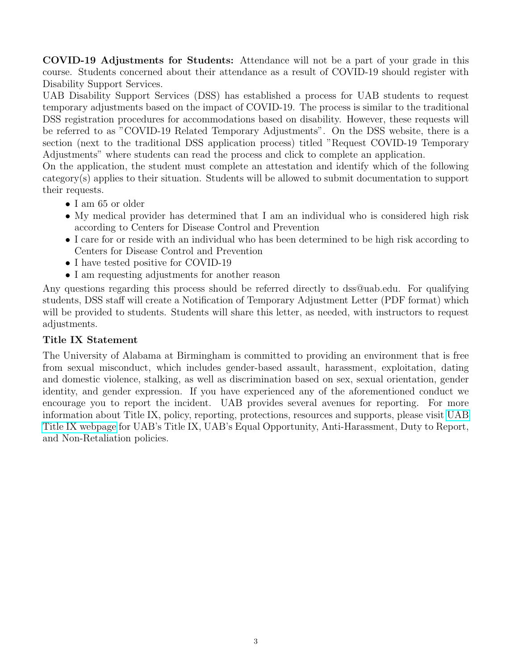COVID-19 Adjustments for Students: Attendance will not be a part of your grade in this course. Students concerned about their attendance as a result of COVID-19 should register with Disability Support Services.

UAB Disability Support Services (DSS) has established a process for UAB students to request temporary adjustments based on the impact of COVID-19. The process is similar to the traditional DSS registration procedures for accommodations based on disability. However, these requests will be referred to as "COVID-19 Related Temporary Adjustments". On the DSS website, there is a section (next to the traditional DSS application process) titled "Request COVID-19 Temporary Adjustments" where students can read the process and click to complete an application.

On the application, the student must complete an attestation and identify which of the following category(s) applies to their situation. Students will be allowed to submit documentation to support their requests.

- I am 65 or older
- My medical provider has determined that I am an individual who is considered high risk according to Centers for Disease Control and Prevention
- I care for or reside with an individual who has been determined to be high risk according to Centers for Disease Control and Prevention
- I have tested positive for COVID-19
- I am requesting adjustments for another reason

Any questions regarding this process should be referred directly to dss@uab.edu. For qualifying students, DSS staff will create a Notification of Temporary Adjustment Letter (PDF format) which will be provided to students. Students will share this letter, as needed, with instructors to request adjustments.

# Title IX Statement

The University of Alabama at Birmingham is committed to providing an environment that is free from sexual misconduct, which includes gender-based assault, harassment, exploitation, dating and domestic violence, stalking, as well as discrimination based on sex, sexual orientation, gender identity, and gender expression. If you have experienced any of the aforementioned conduct we encourage you to report the incident. UAB provides several avenues for reporting. For more information about Title IX, policy, reporting, protections, resources and supports, please visit [UAB](https://www.uab.edu/titleix/) [Title IX webpage](https://www.uab.edu/titleix/) for UAB's Title IX, UAB's Equal Opportunity, Anti-Harassment, Duty to Report, and Non-Retaliation policies.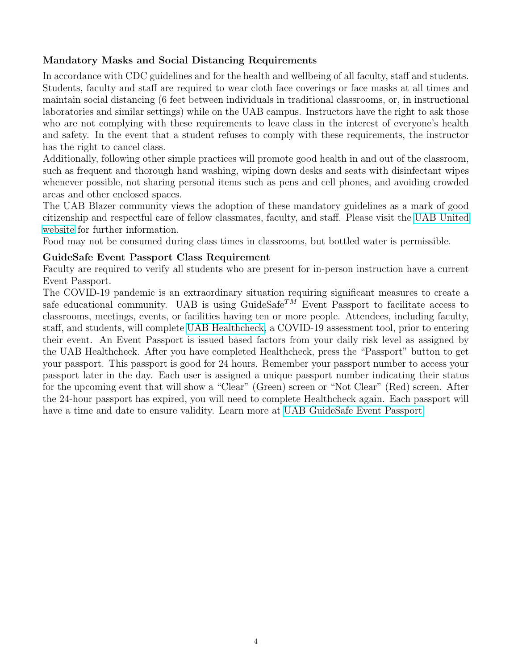# Mandatory Masks and Social Distancing Requirements

In accordance with CDC guidelines and for the health and wellbeing of all faculty, staff and students. Students, faculty and staff are required to wear cloth face coverings or face masks at all times and maintain social distancing (6 feet between individuals in traditional classrooms, or, in instructional laboratories and similar settings) while on the UAB campus. Instructors have the right to ask those who are not complying with these requirements to leave class in the interest of everyone's health and safety. In the event that a student refuses to comply with these requirements, the instructor has the right to cancel class.

Additionally, following other simple practices will promote good health in and out of the classroom, such as frequent and thorough hand washing, wiping down desks and seats with disinfectant wipes whenever possible, not sharing personal items such as pens and cell phones, and avoiding crowded areas and other enclosed spaces.

The UAB Blazer community views the adoption of these mandatory guidelines as a mark of good citizenship and respectful care of fellow classmates, faculty, and staff. Please visit the [UAB United](https://www.uab.edu/uabunited/students) [website](https://www.uab.edu/uabunited/students) for further information.

Food may not be consumed during class times in classrooms, but bottled water is permissible.

## GuideSafe Event Passport Class Requirement

Faculty are required to verify all students who are present for in-person instruction have a current Event Passport.

The COVID-19 pandemic is an extraordinary situation requiring significant measures to create a safe educational community. UAB is using GuideSafe<sup>TM</sup> Event Passport to facilitate access to classrooms, meetings, events, or facilities having ten or more people. Attendees, including faculty, staff, and students, will complete [UAB Healthcheck,](https://www.uab.edu/uabunited/uab-healthcheck) a COVID-19 assessment tool, prior to entering their event. An Event Passport is issued based factors from your daily risk level as assigned by the UAB Healthcheck. After you have completed Healthcheck, press the "Passport" button to get your passport. This passport is good for 24 hours. Remember your passport number to access your passport later in the day. Each user is assigned a unique passport number indicating their status for the upcoming event that will show a "Clear" (Green) screen or "Not Clear" (Red) screen. After the 24-hour passport has expired, you will need to complete Healthcheck again. Each passport will have a time and date to ensure validity. Learn more at [UAB GuideSafe Event Passport.](https://www.uab.edu/uabunited/guidesafe-event-passport)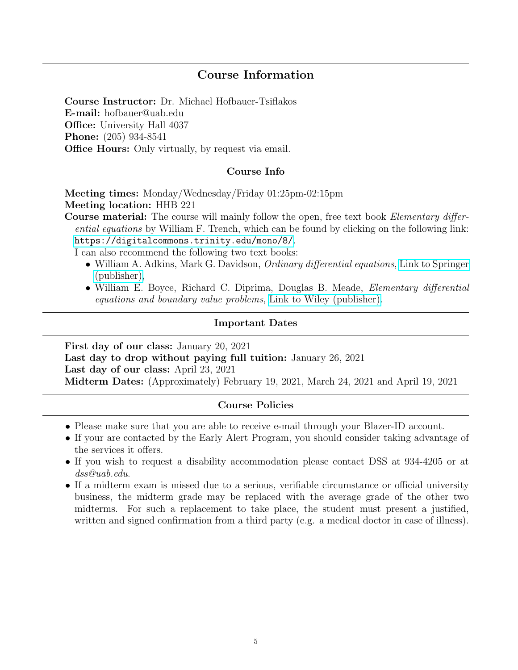# Course Information

Course Instructor: Dr. Michael Hofbauer-Tsiflakos E-mail: hofbauer@uab.edu **Office:** University Hall 4037 Phone: (205) 934-8541 **Office Hours:** Only virtually, by request via email.

### Course Info

Meeting times: Monday/Wednesday/Friday 01:25pm-02:15pm Meeting location: HHB 221

Course material: The course will mainly follow the open, free text book *Elementary differ*ential equations by William F. Trench, which can be found by clicking on the following link: <https://digitalcommons.trinity.edu/mono/8/>.

I can also recommend the following two text books:

- William A. Adkins, Mark G. Davidson, *Ordinary differential equations*, [Link to Springer](https://link.springer.com/book/10.1007%2F978-1-4614-3618-8) [\(publisher\),](https://link.springer.com/book/10.1007%2F978-1-4614-3618-8)
- William E. Boyce, Richard C. Diprima, Douglas B. Meade, *Elementary differential* equations and boundary value problems, [Link to Wiley \(publisher\).](https://www.wiley.com/en-us/Elementary+Differential+Equations+and+Boundary+Value+Problems,+11th+Edition-p-9781119381648)

#### Important Dates

First day of our class: January 20, 2021 Last day to drop without paying full tuition: January 26, 2021 Last day of our class: April 23, 2021 Midterm Dates: (Approximately) February 19, 2021, March 24, 2021 and April 19, 2021

#### Course Policies

- Please make sure that you are able to receive e-mail through your Blazer-ID account.
- If your are contacted by the Early Alert Program, you should consider taking advantage of the services it offers.
- If you wish to request a disability accommodation please contact DSS at 934-4205 or at dss@uab.edu.
- If a midterm exam is missed due to a serious, verifiable circumstance or official university business, the midterm grade may be replaced with the average grade of the other two midterms. For such a replacement to take place, the student must present a justified, written and signed confirmation from a third party (e.g. a medical doctor in case of illness).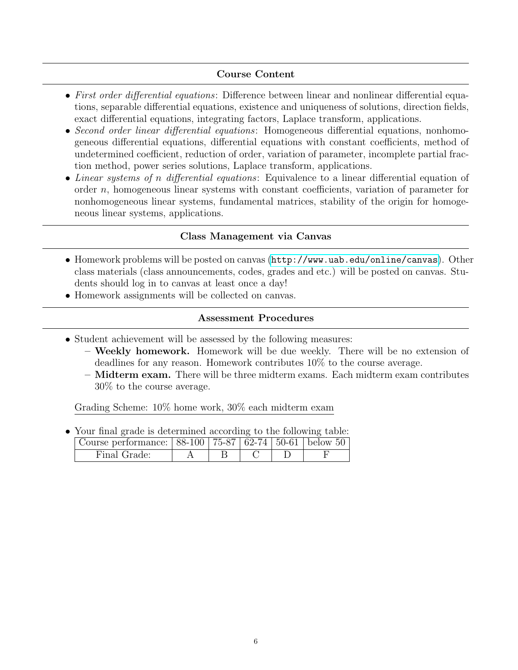# Course Content

- First order differential equations: Difference between linear and nonlinear differential equations, separable differential equations, existence and uniqueness of solutions, direction fields, exact differential equations, integrating factors, Laplace transform, applications.
- Second order linear differential equations: Homogeneous differential equations, nonhomogeneous differential equations, differential equations with constant coefficients, method of undetermined coefficient, reduction of order, variation of parameter, incomplete partial fraction method, power series solutions, Laplace transform, applications.
- Linear systems of n differential equations: Equivalence to a linear differential equation of order  $n$ , homogeneous linear systems with constant coefficients, variation of parameter for nonhomogeneous linear systems, fundamental matrices, stability of the origin for homogeneous linear systems, applications.

# Class Management via Canvas

- Homework problems will be posted on canvas (<http://www.uab.edu/online/canvas>). Other class materials (class announcements, codes, grades and etc.) will be posted on canvas. Students should log in to canvas at least once a day!
- Homework assignments will be collected on canvas.

## Assessment Procedures

- Student achievement will be assessed by the following measures:
	- Weekly homework. Homework will be due weekly. There will be no extension of deadlines for any reason. Homework contributes 10% to the course average.
	- Midterm exam. There will be three midterm exams. Each midterm exam contributes 30% to the course average.

Grading Scheme: 10% home work, 30% each midterm exam

• Your final grade is determined according to the following table:

| Course performance: 88-100   75-87   62-74   50-61   below 50 |  |  |  |  |  |
|---------------------------------------------------------------|--|--|--|--|--|
| Final Grade:                                                  |  |  |  |  |  |